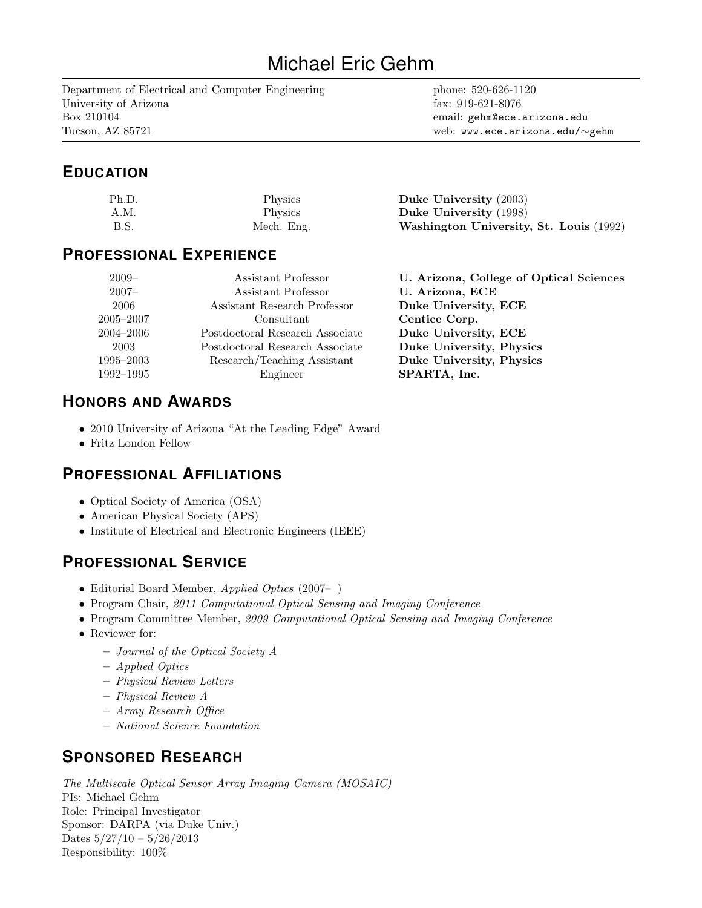# Michael Eric Gehm

Department of Electrical and Computer Engineering University of Arizona Box 210104 Tucson, AZ 85721

phone: 520-626-1120 fax: 919-621-8076 email: gehm@ece.arizona.edu web: www.ece.arizona.edu/∼gehm

# **EDUCATION**

| Ph.D. | Physics        | Duke University (2003)                  |
|-------|----------------|-----------------------------------------|
| A.M.  | <b>Physics</b> | Duke University (1998)                  |
| B.S.  | Mech. Eng.     | Washington University, St. Louis (1992) |

### **PROFESSIONAL EXPERIENCE**

| $2009 -$      | Assistant Professor             | U. Arizona, College of Optical Sciences |
|---------------|---------------------------------|-----------------------------------------|
| $2007 -$      | Assistant Professor             | U. Arizona, ECE                         |
| 2006          | Assistant Research Professor    | Duke University, ECE                    |
| $2005 - 2007$ | Consultant                      | Centice Corp.                           |
| $2004 - 2006$ | Postdoctoral Research Associate | Duke University, ECE                    |
| 2003          | Postdoctoral Research Associate | Duke University, Physics                |
| 1995-2003     | Research/Teaching Assistant     | Duke University, Physics                |
| 1992-1995     | Engineer                        | SPARTA, Inc.                            |
|               |                                 |                                         |

# **HONORS AND AWARDS**

- 2010 University of Arizona "At the Leading Edge" Award
- Fritz London Fellow

# **PROFESSIONAL AFFILIATIONS**

- Optical Society of America (OSA)
- American Physical Society (APS)
- Institute of Electrical and Electronic Engineers (IEEE)

# **PROFESSIONAL SERVICE**

- Editorial Board Member, Applied Optics (2007– )
- Program Chair, 2011 Computational Optical Sensing and Imaging Conference
- Program Committee Member, 2009 Computational Optical Sensing and Imaging Conference
- Reviewer for:
	- Journal of the Optical Society A
	- Applied Optics
	- Physical Review Letters
	- Physical Review A
	- Army Research Office
	- National Science Foundation

# **SPONSORED RESEARCH**

The Multiscale Optical Sensor Array Imaging Camera (MOSAIC) PIs: Michael Gehm Role: Principal Investigator Sponsor: DARPA (via Duke Univ.) Dates  $5/27/10 - 5/26/2013$ Responsibility: 100%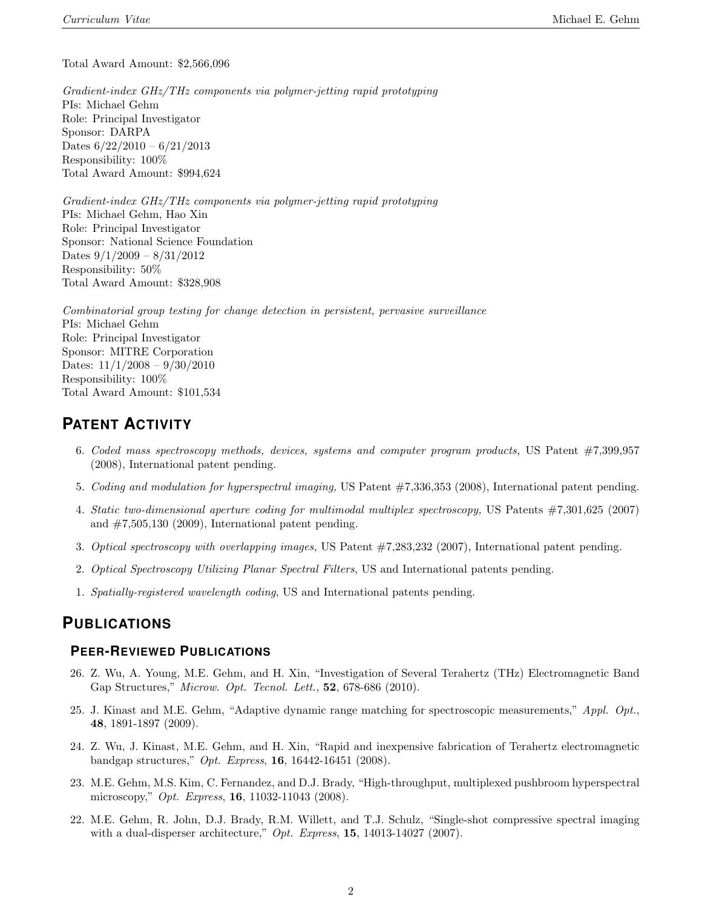Total Award Amount: \$2,566,096

Gradient-index GHz/THz components via polymer-jetting rapid prototyping PIs: Michael Gehm Role: Principal Investigator Sponsor: DARPA Dates  $6/22/2010 - 6/21/2013$ Responsibility: 100% Total Award Amount: \$994,624

Gradient-index GHz/THz components via polymer-jetting rapid prototyping PIs: Michael Gehm, Hao Xin Role: Principal Investigator Sponsor: National Science Foundation Dates  $9/1/2009 - 8/31/2012$ Responsibility: 50% Total Award Amount: \$328,908

Combinatorial group testing for change detection in persistent, pervasive surveillance PIs: Michael Gehm Role: Principal Investigator Sponsor: MITRE Corporation Dates:  $11/1/2008 - 9/30/2010$ Responsibility: 100% Total Award Amount: \$101,534

### **PATENT ACTIVITY**

- 6. Coded mass spectroscopy methods, devices, systems and computer program products, US Patent #7,399,957 (2008), International patent pending.
- 5. Coding and modulation for hyperspectral imaging, US Patent #7,336,353 (2008), International patent pending.
- 4. Static two-dimensional aperture coding for multimodal multiplex spectroscopy, US Patents #7,301,625 (2007) and  $\#7,505,130$  (2009), International patent pending.
- 3. Optical spectroscopy with overlapping images, US Patent #7,283,232 (2007), International patent pending.
- 2. Optical Spectroscopy Utilizing Planar Spectral Filters, US and International patents pending.
- 1. Spatially-registered wavelength coding, US and International patents pending.

### **PUBLICATIONS**

### **PEER-REVIEWED PUBLICATIONS**

- 26. Z. Wu, A. Young, M.E. Gehm, and H. Xin, "Investigation of Several Terahertz (THz) Electromagnetic Band Gap Structures," Microw. Opt. Tecnol. Lett., **52**, 678-686 (2010).
- 25. J. Kinast and M.E. Gehm, "Adaptive dynamic range matching for spectroscopic measurements," Appl. Opt., 48, 1891-1897 (2009).
- 24. Z. Wu, J. Kinast, M.E. Gehm, and H. Xin, "Rapid and inexpensive fabrication of Terahertz electromagnetic bandgap structures," Opt. Express, 16, 16442-16451 (2008).
- 23. M.E. Gehm, M.S. Kim, C. Fernandez, and D.J. Brady, "High-throughput, multiplexed pushbroom hyperspectral microscopy," *Opt. Express*, **16**, 11032-11043 (2008).
- 22. M.E. Gehm, R. John, D.J. Brady, R.M. Willett, and T.J. Schulz, "Single-shot compressive spectral imaging with a dual-disperser architecture,"  $Opt.$  Express, 15, 14013-14027 (2007).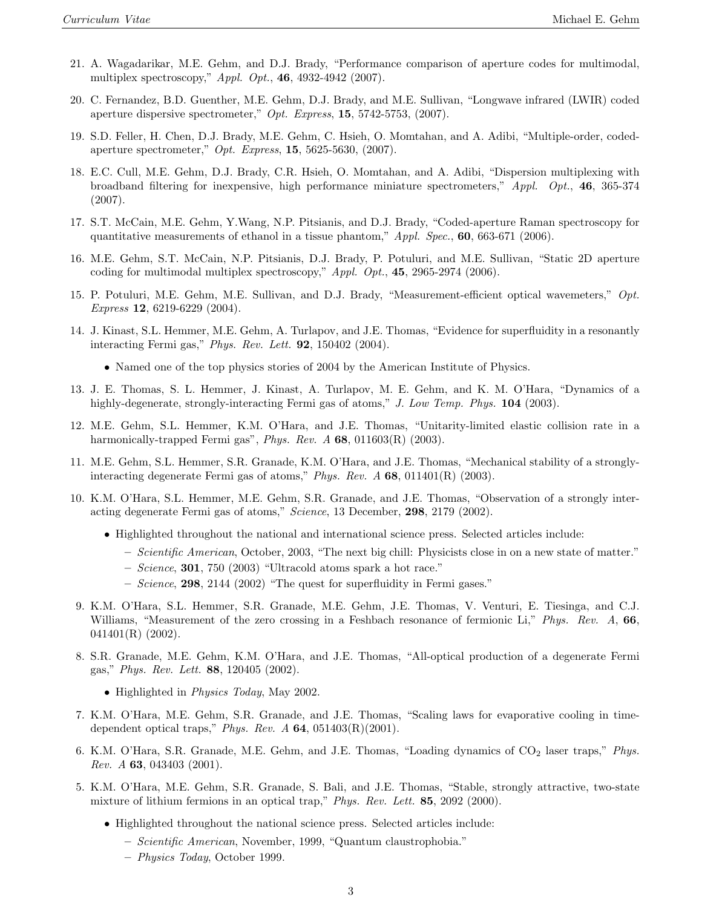- 21. A. Wagadarikar, M.E. Gehm, and D.J. Brady, "Performance comparison of aperture codes for multimodal, multiplex spectroscopy," Appl. Opt., 46, 4932-4942 (2007).
- 20. C. Fernandez, B.D. Guenther, M.E. Gehm, D.J. Brady, and M.E. Sullivan, "Longwave infrared (LWIR) coded aperture dispersive spectrometer,"  $Opt.$  Express, 15, 5742-5753, (2007).
- 19. S.D. Feller, H. Chen, D.J. Brady, M.E. Gehm, C. Hsieh, O. Momtahan, and A. Adibi, "Multiple-order, codedaperture spectrometer," Opt. Express, 15, 5625-5630, (2007).
- 18. E.C. Cull, M.E. Gehm, D.J. Brady, C.R. Hsieh, O. Momtahan, and A. Adibi, "Dispersion multiplexing with broadband filtering for inexpensive, high performance miniature spectrometers," Appl. Opt., 46, 365-374 (2007).
- 17. S.T. McCain, M.E. Gehm, Y.Wang, N.P. Pitsianis, and D.J. Brady, "Coded-aperture Raman spectroscopy for quantitative measurements of ethanol in a tissue phantom," Appl. Spec., 60, 663-671 (2006).
- 16. M.E. Gehm, S.T. McCain, N.P. Pitsianis, D.J. Brady, P. Potuluri, and M.E. Sullivan, "Static 2D aperture coding for multimodal multiplex spectroscopy," Appl. Opt., 45, 2965-2974 (2006).
- 15. P. Potuluri, M.E. Gehm, M.E. Sullivan, and D.J. Brady, "Measurement-efficient optical wavemeters," Opt. Express 12, 6219-6229 (2004).
- 14. J. Kinast, S.L. Hemmer, M.E. Gehm, A. Turlapov, and J.E. Thomas, "Evidence for superfluidity in a resonantly interacting Fermi gas," Phys. Rev. Lett. 92, 150402 (2004).

• Named one of the top physics stories of 2004 by the American Institute of Physics.

- 13. J. E. Thomas, S. L. Hemmer, J. Kinast, A. Turlapov, M. E. Gehm, and K. M. O'Hara, "Dynamics of a highly-degenerate, strongly-interacting Fermi gas of atoms," J. Low Temp. Phys. 104 (2003).
- 12. M.E. Gehm, S.L. Hemmer, K.M. O'Hara, and J.E. Thomas, "Unitarity-limited elastic collision rate in a harmonically-trapped Fermi gas", *Phys. Rev. A*  $68$ , 011603(R) (2003).
- 11. M.E. Gehm, S.L. Hemmer, S.R. Granade, K.M. O'Hara, and J.E. Thomas, "Mechanical stability of a stronglyinteracting degenerate Fermi gas of atoms," Phys. Rev.  $A$  68, 011401(R) (2003).
- 10. K.M. O'Hara, S.L. Hemmer, M.E. Gehm, S.R. Granade, and J.E. Thomas, "Observation of a strongly interacting degenerate Fermi gas of atoms," Science, 13 December, 298, 2179 (2002).
	- Highlighted throughout the national and international science press. Selected articles include:
		- Scientific American, October, 2003, "The next big chill: Physicists close in on a new state of matter."
		- $-$  Science, 301, 750 (2003) "Ultracold atoms spark a hot race."
		- $-$  Science, 298, 2144 (2002) "The quest for superfluidity in Fermi gases."
- 9. K.M. O'Hara, S.L. Hemmer, S.R. Granade, M.E. Gehm, J.E. Thomas, V. Venturi, E. Tiesinga, and C.J. Williams, "Measurement of the zero crossing in a Feshbach resonance of fermionic Li," Phys. Rev. A, 66, 041401(R) (2002).
- 8. S.R. Granade, M.E. Gehm, K.M. O'Hara, and J.E. Thomas, "All-optical production of a degenerate Fermi gas," Phys. Rev. Lett. 88, 120405 (2002).
	- Highlighted in Physics Today, May 2002.
- 7. K.M. O'Hara, M.E. Gehm, S.R. Granade, and J.E. Thomas, "Scaling laws for evaporative cooling in timedependent optical traps," Phys. Rev.  $A$  64,  $051403(R)(2001)$ .
- 6. K.M. O'Hara, S.R. Granade, M.E. Gehm, and J.E. Thomas, "Loading dynamics of CO<sub>2</sub> laser traps," Phys. *Rev. A* **63**, 043403 (2001).
- 5. K.M. O'Hara, M.E. Gehm, S.R. Granade, S. Bali, and J.E. Thomas, "Stable, strongly attractive, two-state mixture of lithium fermions in an optical trap," Phys. Rev. Lett. 85, 2092 (2000).
	- Highlighted throughout the national science press. Selected articles include:
		- Scientific American, November, 1999, "Quantum claustrophobia."
		- Physics Today, October 1999.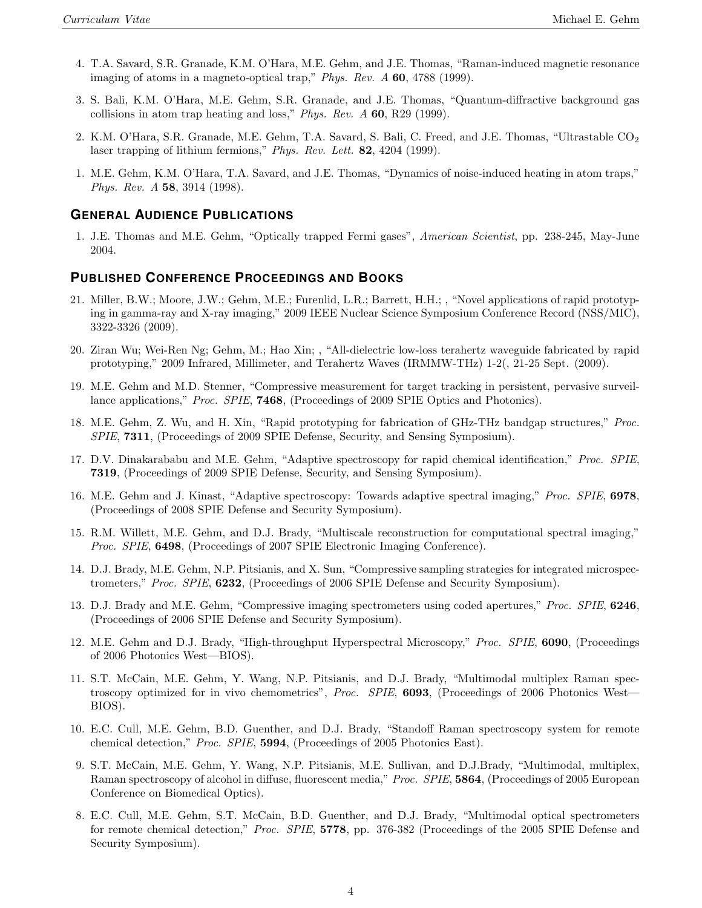- 4. T.A. Savard, S.R. Granade, K.M. O'Hara, M.E. Gehm, and J.E. Thomas, "Raman-induced magnetic resonance imaging of atoms in a magneto-optical trap," Phys. Rev. A 60, 4788 (1999).
- 3. S. Bali, K.M. O'Hara, M.E. Gehm, S.R. Granade, and J.E. Thomas, "Quantum-diffractive background gas collisions in atom trap heating and loss," Phys. Rev. A 60, R29 (1999).
- 2. K.M. O'Hara, S.R. Granade, M.E. Gehm, T.A. Savard, S. Bali, C. Freed, and J.E. Thomas, "Ultrastable CO<sub>2</sub> laser trapping of lithium fermions," Phys. Rev. Lett. 82, 4204 (1999).
- 1. M.E. Gehm, K.M. O'Hara, T.A. Savard, and J.E. Thomas, "Dynamics of noise-induced heating in atom traps," Phys. Rev. A 58, 3914 (1998).

### **GENERAL AUDIENCE PUBLICATIONS**

1. J.E. Thomas and M.E. Gehm, "Optically trapped Fermi gases", American Scientist, pp. 238-245, May-June 2004.

#### **PUBLISHED CONFERENCE PROCEEDINGS AND BOOKS**

- 21. Miller, B.W.; Moore, J.W.; Gehm, M.E.; Furenlid, L.R.; Barrett, H.H.; , "Novel applications of rapid prototyping in gamma-ray and X-ray imaging," 2009 IEEE Nuclear Science Symposium Conference Record (NSS/MIC), 3322-3326 (2009).
- 20. Ziran Wu; Wei-Ren Ng; Gehm, M.; Hao Xin; , "All-dielectric low-loss terahertz waveguide fabricated by rapid prototyping," 2009 Infrared, Millimeter, and Terahertz Waves (IRMMW-THz) 1-2(, 21-25 Sept. (2009).
- 19. M.E. Gehm and M.D. Stenner, "Compressive measurement for target tracking in persistent, pervasive surveillance applications," Proc. SPIE, 7468, (Proceedings of 2009 SPIE Optics and Photonics).
- 18. M.E. Gehm, Z. Wu, and H. Xin, "Rapid prototyping for fabrication of GHz-THz bandgap structures," Proc. SPIE, 7311, (Proceedings of 2009 SPIE Defense, Security, and Sensing Symposium).
- 17. D.V. Dinakarababu and M.E. Gehm, "Adaptive spectroscopy for rapid chemical identification," Proc. SPIE, 7319, (Proceedings of 2009 SPIE Defense, Security, and Sensing Symposium).
- 16. M.E. Gehm and J. Kinast, "Adaptive spectroscopy: Towards adaptive spectral imaging," Proc. SPIE, 6978, (Proceedings of 2008 SPIE Defense and Security Symposium).
- 15. R.M. Willett, M.E. Gehm, and D.J. Brady, "Multiscale reconstruction for computational spectral imaging," Proc. SPIE, 6498, (Proceedings of 2007 SPIE Electronic Imaging Conference).
- 14. D.J. Brady, M.E. Gehm, N.P. Pitsianis, and X. Sun, "Compressive sampling strategies for integrated microspectrometers," Proc. SPIE, 6232, (Proceedings of 2006 SPIE Defense and Security Symposium).
- 13. D.J. Brady and M.E. Gehm, "Compressive imaging spectrometers using coded apertures," Proc. SPIE, 6246, (Proceedings of 2006 SPIE Defense and Security Symposium).
- 12. M.E. Gehm and D.J. Brady, "High-throughput Hyperspectral Microscopy," Proc. SPIE, 6090, (Proceedings of 2006 Photonics West—BIOS).
- 11. S.T. McCain, M.E. Gehm, Y. Wang, N.P. Pitsianis, and D.J. Brady, "Multimodal multiplex Raman spectroscopy optimized for in vivo chemometrics", Proc. SPIE, 6093, (Proceedings of 2006 Photonics West-BIOS).
- 10. E.C. Cull, M.E. Gehm, B.D. Guenther, and D.J. Brady, "Standoff Raman spectroscopy system for remote chemical detection," Proc. SPIE, 5994, (Proceedings of 2005 Photonics East).
- 9. S.T. McCain, M.E. Gehm, Y. Wang, N.P. Pitsianis, M.E. Sullivan, and D.J.Brady, "Multimodal, multiplex, Raman spectroscopy of alcohol in diffuse, fluorescent media," Proc. SPIE, 5864, (Proceedings of 2005 European Conference on Biomedical Optics).
- 8. E.C. Cull, M.E. Gehm, S.T. McCain, B.D. Guenther, and D.J. Brady, "Multimodal optical spectrometers for remote chemical detection," Proc. SPIE, 5778, pp. 376-382 (Proceedings of the 2005 SPIE Defense and Security Symposium).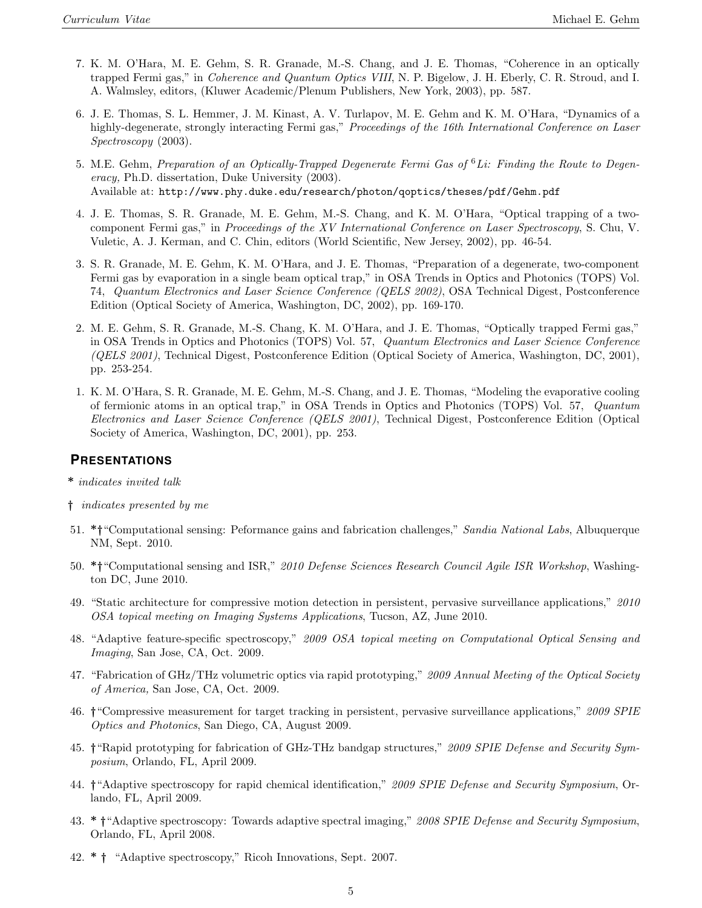- 7. K. M. O'Hara, M. E. Gehm, S. R. Granade, M.-S. Chang, and J. E. Thomas, "Coherence in an optically trapped Fermi gas," in Coherence and Quantum Optics VIII, N. P. Bigelow, J. H. Eberly, C. R. Stroud, and I. A. Walmsley, editors, (Kluwer Academic/Plenum Publishers, New York, 2003), pp. 587.
- 6. J. E. Thomas, S. L. Hemmer, J. M. Kinast, A. V. Turlapov, M. E. Gehm and K. M. O'Hara, "Dynamics of a highly-degenerate, strongly interacting Fermi gas," Proceedings of the 16th International Conference on Laser Spectroscopy (2003).
- 5. M.E. Gehm, Preparation of an Optically-Trapped Degenerate Fermi Gas of <sup>6</sup>Li: Finding the Route to Degeneracy, Ph.D. dissertation, Duke University (2003). Available at: http://www.phy.duke.edu/research/photon/qoptics/theses/pdf/Gehm.pdf
- 4. J. E. Thomas, S. R. Granade, M. E. Gehm, M.-S. Chang, and K. M. O'Hara, "Optical trapping of a twocomponent Fermi gas," in Proceedings of the XV International Conference on Laser Spectroscopy, S. Chu, V. Vuletic, A. J. Kerman, and C. Chin, editors (World Scientific, New Jersey, 2002), pp. 46-54.
- 3. S. R. Granade, M. E. Gehm, K. M. O'Hara, and J. E. Thomas, "Preparation of a degenerate, two-component Fermi gas by evaporation in a single beam optical trap," in OSA Trends in Optics and Photonics (TOPS) Vol. 74, Quantum Electronics and Laser Science Conference (QELS 2002), OSA Technical Digest, Postconference Edition (Optical Society of America, Washington, DC, 2002), pp. 169-170.
- 2. M. E. Gehm, S. R. Granade, M.-S. Chang, K. M. O'Hara, and J. E. Thomas, "Optically trapped Fermi gas," in OSA Trends in Optics and Photonics (TOPS) Vol. 57, Quantum Electronics and Laser Science Conference (QELS 2001), Technical Digest, Postconference Edition (Optical Society of America, Washington, DC, 2001), pp. 253-254.
- 1. K. M. O'Hara, S. R. Granade, M. E. Gehm, M.-S. Chang, and J. E. Thomas, "Modeling the evaporative cooling of fermionic atoms in an optical trap," in OSA Trends in Optics and Photonics (TOPS) Vol. 57, Quantum Electronics and Laser Science Conference (QELS 2001), Technical Digest, Postconference Edition (Optical Society of America, Washington, DC, 2001), pp. 253.

### **PRESENTATIONS**

- \* indicates invited talk
- † indicates presented by me
- 51. \*†"Computational sensing: Peformance gains and fabrication challenges," Sandia National Labs, Albuquerque NM, Sept. 2010.
- 50. \*†"Computational sensing and ISR," 2010 Defense Sciences Research Council Agile ISR Workshop, Washington DC, June 2010.
- 49. "Static architecture for compressive motion detection in persistent, pervasive surveillance applications," 2010 OSA topical meeting on Imaging Systems Applications, Tucson, AZ, June 2010.
- 48. "Adaptive feature-specific spectroscopy," 2009 OSA topical meeting on Computational Optical Sensing and Imaging, San Jose, CA, Oct. 2009.
- 47. "Fabrication of GHz/THz volumetric optics via rapid prototyping," 2009 Annual Meeting of the Optical Society of America, San Jose, CA, Oct. 2009.
- 46. †"Compressive measurement for target tracking in persistent, pervasive surveillance applications," 2009 SPIE Optics and Photonics, San Diego, CA, August 2009.
- 45. † "Rapid prototyping for fabrication of GHz-THz bandgap structures," 2009 SPIE Defense and Security Symposium, Orlando, FL, April 2009.
- 44. †"Adaptive spectroscopy for rapid chemical identification," 2009 SPIE Defense and Security Symposium, Orlando, FL, April 2009.
- 43. \* †"Adaptive spectroscopy: Towards adaptive spectral imaging," 2008 SPIE Defense and Security Symposium, Orlando, FL, April 2008.
- 42. \* † "Adaptive spectroscopy," Ricoh Innovations, Sept. 2007.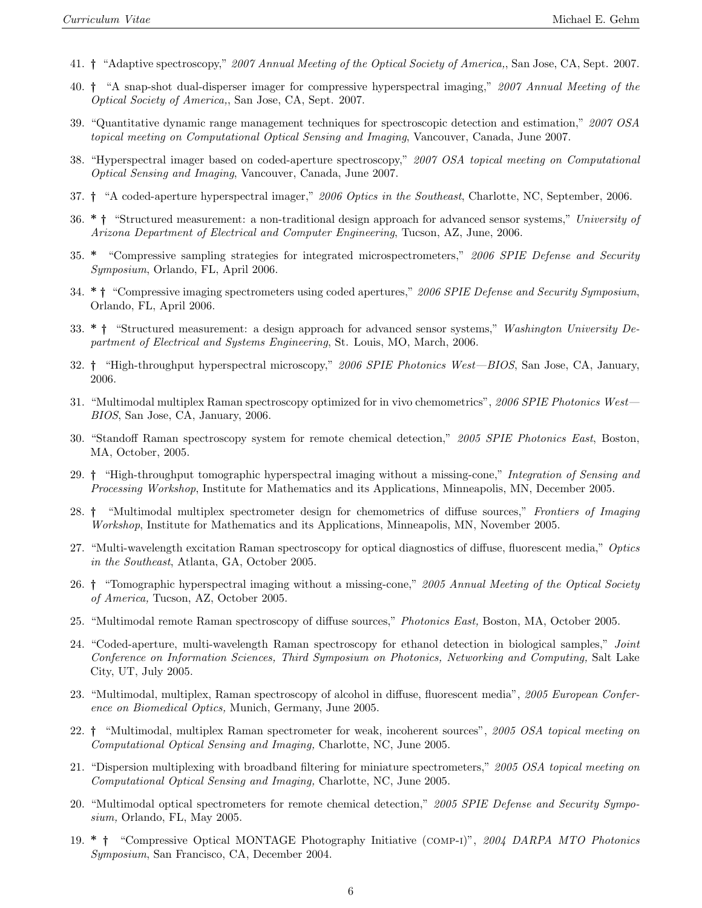- 41. † "Adaptive spectroscopy," 2007 Annual Meeting of the Optical Society of America,, San Jose, CA, Sept. 2007.
- 40. † "A snap-shot dual-disperser imager for compressive hyperspectral imaging," 2007 Annual Meeting of the Optical Society of America,, San Jose, CA, Sept. 2007.
- 39. "Quantitative dynamic range management techniques for spectroscopic detection and estimation," 2007 OSA topical meeting on Computational Optical Sensing and Imaging, Vancouver, Canada, June 2007.
- 38. "Hyperspectral imager based on coded-aperture spectroscopy," 2007 OSA topical meeting on Computational Optical Sensing and Imaging, Vancouver, Canada, June 2007.
- 37. † "A coded-aperture hyperspectral imager," 2006 Optics in the Southeast, Charlotte, NC, September, 2006.
- 36. \* † "Structured measurement: a non-traditional design approach for advanced sensor systems," University of Arizona Department of Electrical and Computer Engineering, Tucson, AZ, June, 2006.
- 35. \* "Compressive sampling strategies for integrated microspectrometers," 2006 SPIE Defense and Security Symposium, Orlando, FL, April 2006.
- 34. \* † "Compressive imaging spectrometers using coded apertures," 2006 SPIE Defense and Security Symposium, Orlando, FL, April 2006.
- 33. \* † "Structured measurement: a design approach for advanced sensor systems," Washington University Department of Electrical and Systems Engineering, St. Louis, MO, March, 2006.
- 32. † "High-throughput hyperspectral microscopy," 2006 SPIE Photonics West—BIOS, San Jose, CA, January, 2006.
- 31. "Multimodal multiplex Raman spectroscopy optimized for in vivo chemometrics", 2006 SPIE Photonics West— BIOS, San Jose, CA, January, 2006.
- 30. "Standoff Raman spectroscopy system for remote chemical detection," 2005 SPIE Photonics East, Boston, MA, October, 2005.
- 29. † "High-throughput tomographic hyperspectral imaging without a missing-cone," Integration of Sensing and Processing Workshop, Institute for Mathematics and its Applications, Minneapolis, MN, December 2005.
- 28. † "Multimodal multiplex spectrometer design for chemometrics of diffuse sources," Frontiers of Imaging Workshop, Institute for Mathematics and its Applications, Minneapolis, MN, November 2005.
- 27. "Multi-wavelength excitation Raman spectroscopy for optical diagnostics of diffuse, fluorescent media," Optics in the Southeast, Atlanta, GA, October 2005.
- 26. † "Tomographic hyperspectral imaging without a missing-cone," 2005 Annual Meeting of the Optical Society of America, Tucson, AZ, October 2005.
- 25. "Multimodal remote Raman spectroscopy of diffuse sources," Photonics East, Boston, MA, October 2005.
- 24. "Coded-aperture, multi-wavelength Raman spectroscopy for ethanol detection in biological samples," Joint Conference on Information Sciences, Third Symposium on Photonics, Networking and Computing, Salt Lake City, UT, July 2005.
- 23. "Multimodal, multiplex, Raman spectroscopy of alcohol in diffuse, fluorescent media", 2005 European Conference on Biomedical Optics, Munich, Germany, June 2005.
- 22. † "Multimodal, multiplex Raman spectrometer for weak, incoherent sources", 2005 OSA topical meeting on Computational Optical Sensing and Imaging, Charlotte, NC, June 2005.
- 21. "Dispersion multiplexing with broadband filtering for miniature spectrometers," 2005 OSA topical meeting on Computational Optical Sensing and Imaging, Charlotte, NC, June 2005.
- 20. "Multimodal optical spectrometers for remote chemical detection," 2005 SPIE Defense and Security Symposium, Orlando, FL, May 2005.
- 19. \* † "Compressive Optical MONTAGE Photography Initiative (comp-i)", 2004 DARPA MTO Photonics Symposium, San Francisco, CA, December 2004.